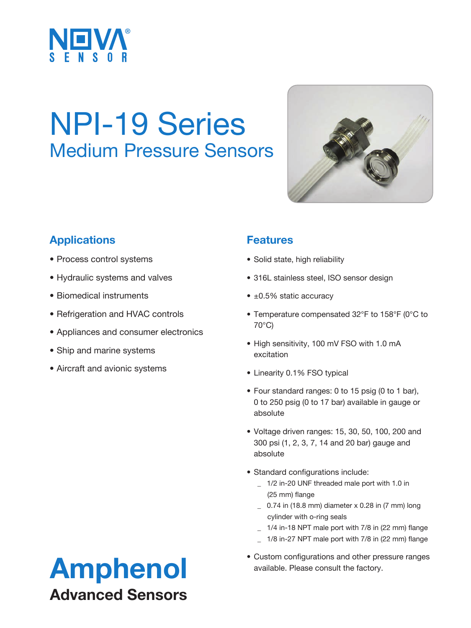

## NPI-19 Series Medium Pressure Sensors



## **Applications**

- Process control systems
- Hydraulic systems and valves
- Biomedical instruments
- Refrigeration and HVAC controls
- Appliances and consumer electronics
- Ship and marine systems
- Aircraft and avionic systems

#### **Features**

- Solid state, high reliability
- 316L stainless steel, ISO sensor design
- ±0.5% static accuracy
- Temperature compensated 32°F to 158°F (0°C to 70°C)
- High sensitivity, 100 mV FSO with 1.0 mA excitation
- Linearity 0.1% FSO typical
- Four standard ranges: 0 to 15 psig (0 to 1 bar), 0 to 250 psig (0 to 17 bar) available in gauge or absolute
- Voltage driven ranges: 15, 30, 50, 100, 200 and 300 psi (1, 2, 3, 7, 14 and 20 bar) gauge and absolute
- Standard configurations include:
	- \_ 1/2 in-20 UNF threaded male port with 1.0 in (25 mm) flange
	- $\sim$  0.74 in (18.8 mm) diameter x 0.28 in (7 mm) long cylinder with o-ring seals
	- \_ 1/4 in-18 NPT male port with 7/8 in (22 mm) flange
	- \_ 1/8 in-27 NPT male port with 7/8 in (22 mm) flange
- Custom configurations and other pressure ranges<br>available. Please consult the factory.

# Advanced Sensors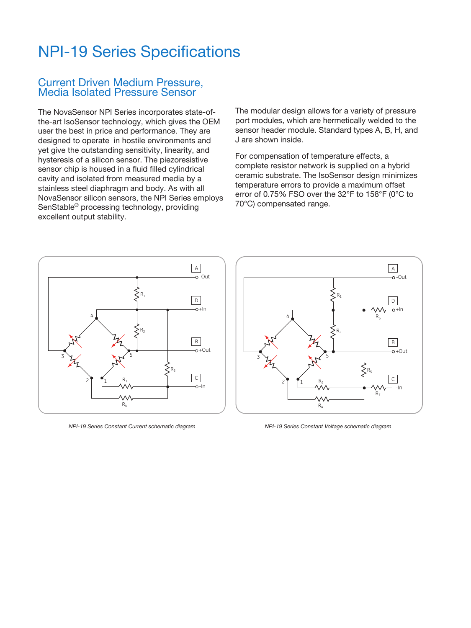## NPI-19 Series Specifications

#### Current Driven Medium Pressure, Media Isolated Pressure Sensor

The NovaSensor NPI Series incorporates state-ofthe-art IsoSensor technology, which gives the OEM user the best in price and performance. They are designed to operate in hostile environments and yet give the outstanding sensitivity, linearity, and hysteresis of a silicon sensor. The piezoresistive sensor chip is housed in a fluid filled cylindrical cavity and isolated from measured media by a stainless steel diaphragm and body. As with all NovaSensor silicon sensors, the NPI Series employs SenStable® processing technology, providing excellent output stability.

The modular design allows for a variety of pressure port modules, which are hermetically welded to the sensor header module. Standard types A, B, H, and J are shown inside.

For compensation of temperature effects, a complete resistor network is supplied on a hybrid B substrate. The IsoSensor design minimizes temperature errors to provide a maximum offset error of 0.75% FSO over the 32°F to 158°F (0°C to 70°C) compensated range.  $\breve{}$ 



*NPI-19 Series Constant Current schematic diagram*



*NPI-19 Series Constant Voltage schematic diagram*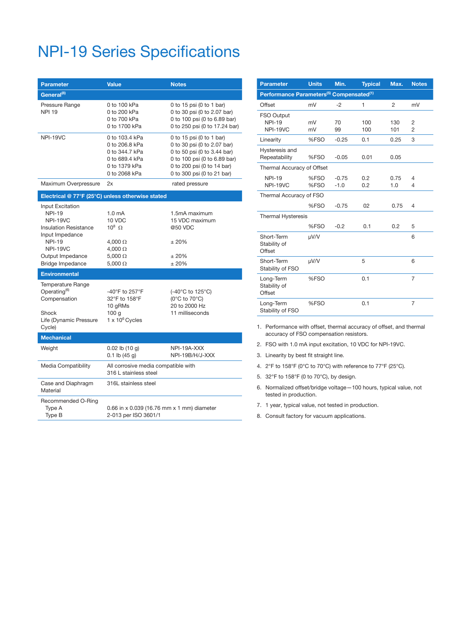## NPI-19 Series Specifications

| <b>Parameter</b>                                                                                                                                                                    | <b>Value</b>                                                                                                            | <b>Notes</b>                                                                                                                                                                       |  |  |  |  |
|-------------------------------------------------------------------------------------------------------------------------------------------------------------------------------------|-------------------------------------------------------------------------------------------------------------------------|------------------------------------------------------------------------------------------------------------------------------------------------------------------------------------|--|--|--|--|
| General <sup>(8)</sup>                                                                                                                                                              |                                                                                                                         |                                                                                                                                                                                    |  |  |  |  |
| Pressure Range<br><b>NPI 19</b>                                                                                                                                                     | 0 to 100 kPa<br>0 to 200 kPa<br>0 to 700 kPa<br>0 to 1700 kPa                                                           | 0 to 15 psi (0 to 1 bar)<br>0 to 30 psi (0 to 2.07 bar)<br>0 to 100 psi (0 to 6.89 bar)<br>0 to 250 psi (0 to 17.24 bar)                                                           |  |  |  |  |
| NPI-19VC                                                                                                                                                                            | 0 to 103.4 kPa<br>0 to 206.8 kPa<br>0 to 344.7 kPa<br>0 to 689.4 kPa<br>0 to 1379 kPa<br>0 to 2068 kPa                  | 0 to 15 psi (0 to 1 bar)<br>0 to 30 psi (0 to 2.07 bar)<br>0 to 50 psi (0 to 3.44 bar)<br>0 to 100 psi (0 to 6.89 bar)<br>0 to 200 psi (0 to 14 bar)<br>0 to 300 psi (0 to 21 bar) |  |  |  |  |
| Maximum Overpressure                                                                                                                                                                | 2x                                                                                                                      | rated pressure                                                                                                                                                                     |  |  |  |  |
|                                                                                                                                                                                     | Electrical @ 77°F (25°C) unless otherwise stated                                                                        |                                                                                                                                                                                    |  |  |  |  |
| Input Excitation<br><b>NPI-19</b><br><b>NPI-19VC</b><br><b>Insulation Resistance</b><br>Input Impedance<br><b>NPI-19</b><br>NPI-19VC<br>Output Impedance<br><b>Bridge Impedance</b> | 1.0 <sub>m</sub> A<br>10 VDC<br>$10^8$ $\Omega$<br>4,000 $\Omega$<br>$4,000 \Omega$<br>5,000 $\Omega$<br>$5,000 \Omega$ | 1.5mA maximum<br>15 VDC maximum<br>@50 VDC<br>± 20%<br>±20%<br>±20%                                                                                                                |  |  |  |  |
| <b>Environmental</b>                                                                                                                                                                |                                                                                                                         |                                                                                                                                                                                    |  |  |  |  |
| Temperature Range<br>Operating $(6)$<br>Compensation<br>Shock<br>Life (Dynamic Pressure<br>Cycle)                                                                                   | -40°F to 257°F<br>32°F to 158°F<br>10 gRMs<br>100 <sub>q</sub><br>$1 \times 10^6$ Cycles                                | $(-40^{\circ}$ C to 125 $^{\circ}$ C)<br>$(0^{\circ}$ C to $70^{\circ}$ C)<br>20 to 2000 Hz<br>11 milliseconds                                                                     |  |  |  |  |
| <b>Mechanical</b>                                                                                                                                                                   |                                                                                                                         |                                                                                                                                                                                    |  |  |  |  |
| Weight                                                                                                                                                                              | $0.02$ lb $(10 g)$<br>$0.1$ lb (45 g)                                                                                   | NPI-19A-XXX<br>NPI-19B/H/J-XXX                                                                                                                                                     |  |  |  |  |
| Media Compatibility                                                                                                                                                                 | All corrosive media compatible with<br>316 L stainless steel                                                            |                                                                                                                                                                                    |  |  |  |  |
| Case and Diaphragm<br>Material                                                                                                                                                      | 316L stainless steel                                                                                                    |                                                                                                                                                                                    |  |  |  |  |
| Recommended O-Ring<br>Type A<br>Type B                                                                                                                                              | 0.66 in x 0.039 (16.76 mm x 1 mm) diameter<br>2-013 per ISO 3601/1                                                      |                                                                                                                                                                                    |  |  |  |  |

| <b>Parameter</b>                                                 | <b>Units</b> | Min.              | <b>Typical</b> | Max.           | <b>Notes</b>        |  |
|------------------------------------------------------------------|--------------|-------------------|----------------|----------------|---------------------|--|
| Performance Parameters <sup>(5)</sup> Compensated <sup>(1)</sup> |              |                   |                |                |                     |  |
| Offset                                                           | mV           | -2                | 1              | $\overline{2}$ | mV                  |  |
| FSO Output<br><b>NPI-19</b><br>NPI-19VC                          | mV<br>mV     | 70<br>99          | 100<br>100     | 130<br>101     | 2<br>$\overline{2}$ |  |
| Linearity                                                        | %FSO         | $-0.25$           | 0.1            | 0.25           | 3                   |  |
| Hysteresis and<br>Repeatability                                  | %FSO         | $-0.05$           | 0.01           | 0.05           |                     |  |
| Thermal Accuracy of Offset                                       |              |                   |                |                |                     |  |
| <b>NPI-19</b><br>NPI-19VC                                        | %FSO<br>%FSO | $-0.75$<br>$-1.0$ | 0.2<br>0.2     | 0.75<br>1.0    | 4<br>$\overline{4}$ |  |
| Thermal Accuracy of FSO                                          |              |                   |                |                |                     |  |
|                                                                  | %FSO         | $-0.75$           | 02             | 0.75           | $\overline{4}$      |  |
| <b>Thermal Hysteresis</b>                                        |              |                   |                |                |                     |  |
|                                                                  | %FSO         | $-0.2$            | 0.1            | 0.2            | 5                   |  |
| Short-Term<br>Stability of<br>Offset                             | µV/V         |                   |                |                | 6                   |  |
| Short-Term<br>Stability of FSO                                   | µV/V         |                   | 5              |                | 6                   |  |
| Long-Term<br>Stability of<br>Offset                              | %FSO         |                   | 0.1            |                | $\overline{7}$      |  |
| Long-Term<br>Stability of FSO                                    | %FSO         |                   | 0.1            |                | $\overline{7}$      |  |

1. Performance with offset, thermal accuracy of offset, and thermal accuracy of FSO compensation resistors.

2. FSO with 1.0 mA input excitation, 10 VDC for NPI-19VC.

3. Linearity by best fit straight line.

4. 2°F to 158°F (0°C to 70°C) with reference to 77°F (25°C).

5. 32°F to 158°F (0 to 70°C), by design.

- 6. Normalized offset/bridge voltage—100 hours, typical value, not tested in production.
- 7. 1 year, typical value, not tested in production.
- 8. Consult factory for vacuum applications.